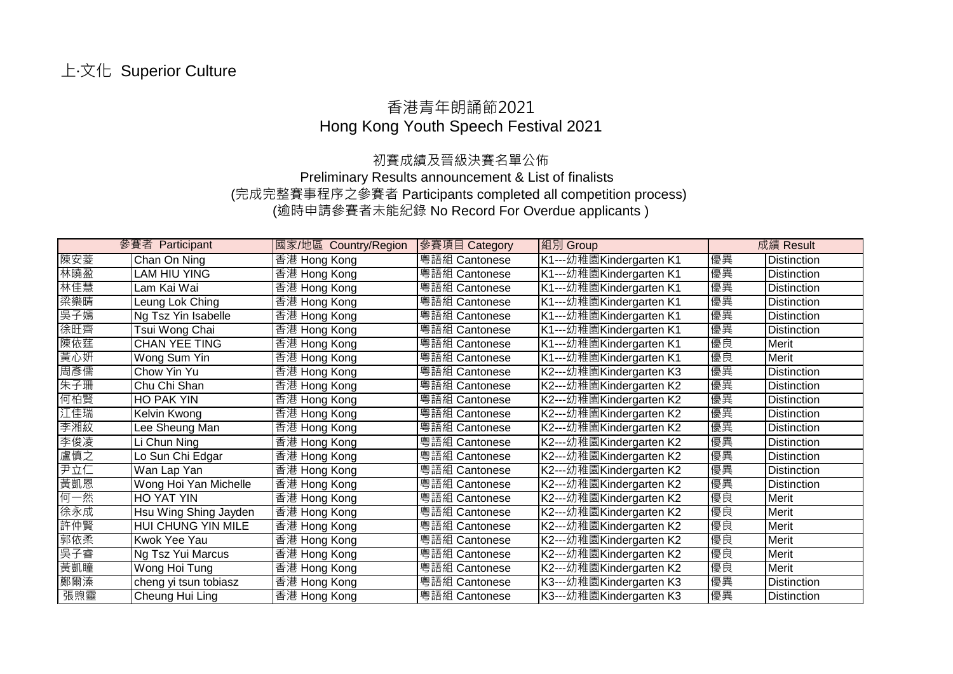## 香港青年朗誦節2021 Hong Kong Youth Speech Festival 2021

## 初賽成績及晉級決賽名單公佈

Preliminary Results announcement & List of finalists (完成完整賽事程序之參賽者 Participants completed all competition process) (逾時申請參賽者未能紀錄 No Record For Overdue applicants )

|     | 參賽者 Participant       | 國家/地區 Country/Region | 參賽項目 Category | 組別 Group                |    | 成績 Result          |
|-----|-----------------------|----------------------|---------------|-------------------------|----|--------------------|
| 陳安菱 | Chan On Ning          | 香港 Hong Kong         | 粵語組 Cantonese | K1---幼稚園Kindergarten K1 | 優異 | <b>Distinction</b> |
| 林曉盈 | LAM HIU YING          | 香港 Hong Kong         | 粵語組 Cantonese | K1---幼稚園Kindergarten K1 | 優異 | Distinction        |
| 林佳慧 | Lam Kai Wai           | 香港 Hong Kong         | 粵語組 Cantonese | K1---幼稚園Kindergarten K1 | 優異 | <b>Distinction</b> |
| 梁樂晴 | Leung Lok Ching       | 香港 Hong Kong         | 粵語組 Cantonese | K1---幼稚園Kindergarten K1 | 優異 | <b>Distinction</b> |
| 吳子嫣 | Ng Tsz Yin Isabelle   | 香港 Hong Kong         | 粵語組 Cantonese | K1---幼稚園Kindergarten K1 | 優異 | <b>Distinction</b> |
| 徐旺齊 | Tsui Wong Chai        | 香港 Hong Kong         | 粵語組 Cantonese | K1---幼稚園Kindergarten K1 | 優異 | <b>Distinction</b> |
| 陳依莛 | <b>CHAN YEE TING</b>  | 香港 Hong Kong         | 粵語組 Cantonese | K1---幼稚園Kindergarten K1 | 優良 | Merit              |
| 黃心妍 | Wong Sum Yin          | 香港 Hong Kong         | 粵語組 Cantonese | K1---幼稚園Kindergarten K1 | 優良 | Merit              |
| 周彥儒 | Chow Yin Yu           | 香港 Hong Kong         | 粵語組 Cantonese | K2---幼稚園Kindergarten K3 | 優異 | <b>Distinction</b> |
| 朱子珊 | Chu Chi Shan          | 香港 Hong Kong         | 粵語組 Cantonese | K2---幼稚園Kindergarten K2 | 優異 | <b>Distinction</b> |
| 何柏賢 | HO PAK YIN            | 香港 Hong Kong         | 粵語組 Cantonese | K2---幼稚園Kindergarten K2 | 優異 | <b>Distinction</b> |
| 江佳瑞 | Kelvin Kwong          | 香港 Hong Kong         | 粵語組 Cantonese | K2---幼稚園Kindergarten K2 | 優異 | <b>Distinction</b> |
| 李湘紋 | Lee Sheung Man        | 香港 Hong Kong         | 粵語組 Cantonese | K2---幼稚園Kindergarten K2 | 優異 | <b>Distinction</b> |
| 李俊凌 | Li Chun Ning          | 香港 Hong Kong         | 粵語組 Cantonese | K2---幼稚園Kindergarten K2 | 優異 | <b>Distinction</b> |
| 盧慎之 | Lo Sun Chi Edgar      | 香港 Hong Kong         | 粵語組 Cantonese | K2---幼稚園Kindergarten K2 | 優異 | <b>Distinction</b> |
| 尹立仁 | Wan Lap Yan           | 香港 Hong Kong         | 粵語組 Cantonese | K2---幼稚園Kindergarten K2 | 優異 | <b>Distinction</b> |
| 黃凱恩 | Wong Hoi Yan Michelle | 香港 Hong Kong         | 粵語組 Cantonese | K2---幼稚園Kindergarten K2 | 優異 | <b>Distinction</b> |
| 何一然 | HO YAT YIN            | 香港 Hong Kong         | 粵語組 Cantonese | K2---幼稚園Kindergarten K2 | 優良 | Merit              |
| 徐永成 | Hsu Wing Shing Jayden | 香港 Hong Kong         | 粵語組 Cantonese | K2---幼稚園Kindergarten K2 | 優良 | Merit              |
| 許仲賢 | HUI CHUNG YIN MILE    | 香港 Hong Kong         | 粵語組 Cantonese | K2---幼稚園Kindergarten K2 | 優良 | Merit              |
| 郭依柔 | Kwok Yee Yau          | 香港 Hong Kong         | 粵語組 Cantonese | K2---幼稚園Kindergarten K2 | 優良 | Merit              |
| 吳子睿 | Ng Tsz Yui Marcus     | 香港 Hong Kong         | 粵語組 Cantonese | K2---幼稚園Kindergarten K2 | 優良 | Merit              |
| 黃凱瞳 | Wong Hoi Tung         | 香港 Hong Kong         | 粵語組 Cantonese | K2---幼稚園Kindergarten K2 | 優良 | Merit              |
| 鄭爾溱 | cheng yi tsun tobiasz | 香港 Hong Kong         | 粵語組 Cantonese | K3---幼稚園Kindergarten K3 | 優異 | <b>Distinction</b> |
| 張煦靈 | Cheung Hui Ling       | 香港 Hong Kong         | 粵語組 Cantonese | K3---幼稚園Kindergarten K3 | 優異 | Distinction        |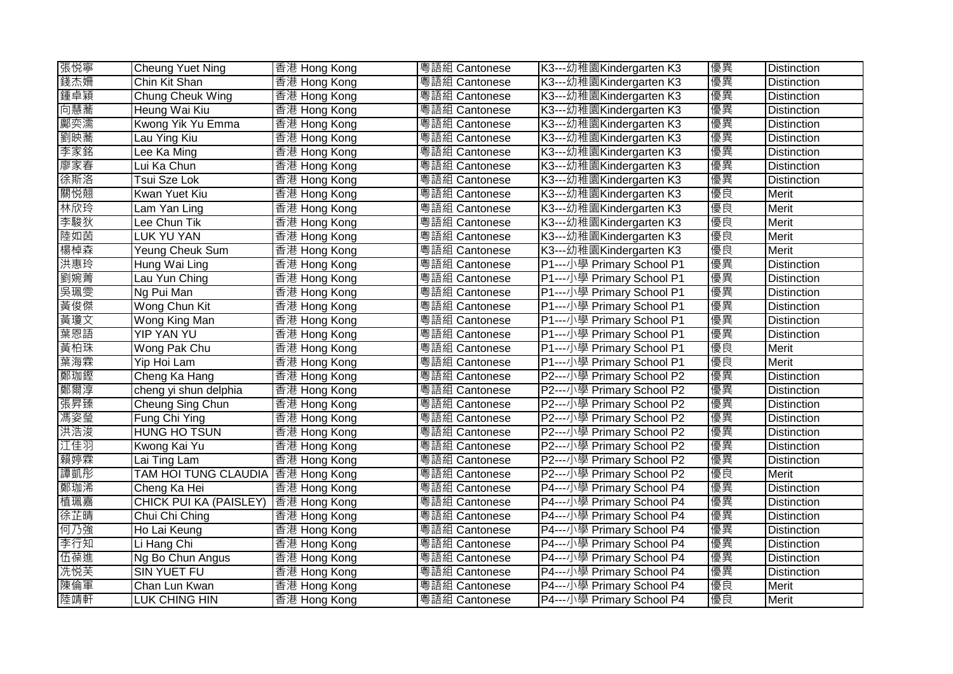| 張悦寧 | Cheung Yuet Ning                   | 香港 Hong Kong | 粤語組 Cantonese | K3---幼稚園Kindergarten K3   | 優異 | <b>Distinction</b> |
|-----|------------------------------------|--------------|---------------|---------------------------|----|--------------------|
| 錢杰姍 | Chin Kit Shan                      | 香港 Hong Kong | 粵語組 Cantonese | K3---幼稚園Kindergarten K3   | 優異 | <b>Distinction</b> |
| 鍾卓穎 | Chung Cheuk Wing                   | 香港 Hong Kong | 粵語組 Cantonese | K3---幼稚園Kindergarten K3   | 優異 | <b>Distinction</b> |
| 向慧蕎 | Heung Wai Kiu                      | 香港 Hong Kong | 粵語組 Cantonese | K3---幼稚園Kindergarten K3   | 優異 | <b>Distinction</b> |
| 鄺奕濡 | Kwong Yik Yu Emma                  | 香港 Hong Kong | 粵語組 Cantonese | K3---幼稚園Kindergarten K3   | 優異 | <b>Distinction</b> |
| 劉映蕎 | Lau Ying Kiu                       | 香港 Hong Kong | 粵語組 Cantonese | K3---幼稚園Kindergarten K3   | 優異 | Distinction        |
| 李家銘 | Lee Ka Ming                        | 香港 Hong Kong | 粵語組 Cantonese | K3---幼稚園Kindergarten K3   | 優異 | <b>Distinction</b> |
| 廖家春 | Lui Ka Chun                        | 香港 Hong Kong | 粵語組 Cantonese | K3---幼稚園Kindergarten K3   | 優異 | <b>Distinction</b> |
| 徐斯洛 | Tsui Sze Lok                       | 香港 Hong Kong | 粵語組 Cantonese | K3---幼稚園Kindergarten K3   | 優異 | <b>Distinction</b> |
| 關悦翹 | Kwan Yuet Kiu                      | 香港 Hong Kong | 粵語組 Cantonese | K3---幼稚園Kindergarten K3   | 優良 | Merit              |
| 林欣玲 | Lam Yan Ling                       | 香港 Hong Kong | 粵語組 Cantonese | K3---幼稚園Kindergarten K3   | 優良 | <b>Merit</b>       |
| 李駿狄 | Lee Chun Tik                       | 香港 Hong Kong | 粵語組 Cantonese | K3---幼稚園Kindergarten K3   | 優良 | Merit              |
| 陸如茵 | LUK YU YAN                         | 香港 Hong Kong | 粵語組 Cantonese | K3---幼稚園Kindergarten K3   | 優良 | Merit              |
| 楊棹森 | Yeung Cheuk Sum                    | 香港 Hong Kong | 粵語組 Cantonese | K3---幼稚園Kindergarten K3   | 優良 | Merit              |
| 洪惠玲 | Hung Wai Ling                      | 香港 Hong Kong | 粵語組 Cantonese | P1---小學 Primary School P1 | 優異 | <b>Distinction</b> |
| 劉婉菁 | Lau Yun Ching                      | 香港 Hong Kong | 粵語組 Cantonese | P1---小學 Primary School P1 | 優異 | <b>Distinction</b> |
| 吳珮雯 | Ng Pui Man                         | 香港 Hong Kong | 粵語組 Cantonese | P1---小學 Primary School P1 | 優異 | Distinction        |
| 黃俊傑 | Wong Chun Kit                      | 香港 Hong Kong | 粵語組 Cantonese | P1---小學 Primary School P1 | 優異 | <b>Distinction</b> |
| 黃瓊文 | Wong King Man                      | 香港 Hong Kong | 粵語組 Cantonese | P1---小學 Primary School P1 | 優異 | Distinction        |
| 葉恩語 | YIP YAN YU                         | 香港 Hong Kong | 粵語組 Cantonese | P1---小學 Primary School P1 | 優異 | <b>Distinction</b> |
| 黃柏珠 | Wong Pak Chu                       | 香港 Hong Kong | 粵語組 Cantonese | P1---小學 Primary School P1 | 優良 | Merit              |
| 葉海霖 | Yip Hoi Lam                        | 香港 Hong Kong | 粵語組 Cantonese | P1---小學 Primary School P1 | 優良 | Merit              |
| 鄭珈鏗 | Cheng Ka Hang                      | 香港 Hong Kong | 粵語組 Cantonese | P2---小學 Primary School P2 | 優異 | <b>Distinction</b> |
| 鄭爾淳 | cheng yi shun delphia              | 香港 Hong Kong | 粵語組 Cantonese | P2---小學 Primary School P2 | 優異 | Distinction        |
| 張昇臻 | Cheung Sing Chun                   | 香港 Hong Kong | 粵語組 Cantonese | P2---小學 Primary School P2 | 優異 | <b>Distinction</b> |
| 馮姿瑩 | Fung Chi Ying                      | 香港 Hong Kong | 粵語組 Cantonese | P2---小學 Primary School P2 | 優異 | Distinction        |
| 洪浩浚 | <b>HUNG HO TSUN</b>                | 香港 Hong Kong | 粵語組 Cantonese | P2---小學 Primary School P2 | 優異 | Distinction        |
| 江佳羽 | Kwong Kai Yu                       | 香港 Hong Kong | 粵語組 Cantonese | P2---小學 Primary School P2 | 優異 | Distinction        |
| 賴婷霖 | Lai Ting Lam                       | 香港 Hong Kong | 粵語組 Cantonese | P2---小學 Primary School P2 | 優異 | Distinction        |
| 譚凱彤 | TAM HOI TUNG CLAUDIA  香港 Hong Kong |              | 粵語組 Cantonese | P2---小學 Primary School P2 | 優良 | Merit              |
| 鄭珈浠 | Cheng Ka Hei                       | 香港 Hong Kong | 粵語組 Cantonese | P4---小學 Primary School P4 | 優異 | <b>Distinction</b> |
| 植珮嘉 | CHICK PUI KA (PAISLEY)             | 香港 Hong Kong | 粵語組 Cantonese | P4---小學 Primary School P4 | 優異 | Distinction        |
| 徐芷晴 | Chui Chi Ching                     | 香港 Hong Kong | 粵語組 Cantonese | P4---小學 Primary School P4 | 優異 | <b>Distinction</b> |
| 何乃強 | Ho Lai Keung                       | 香港 Hong Kong | 粵語組 Cantonese | P4---小學 Primary School P4 | 優異 | Distinction        |
| 李行知 | Li Hang Chi                        | 香港 Hong Kong | 粵語組 Cantonese | P4---小學 Primary School P4 | 優異 | Distinction        |
| 伍葆進 | Ng Bo Chun Angus                   | 香港 Hong Kong | 粤語組 Cantonese | P4---小學 Primary School P4 | 優異 | <b>Distinction</b> |
| 冼悦芙 | SIN YUET FU                        | 香港 Hong Kong | 粵語組 Cantonese | P4---小學 Primary School P4 | 優異 | Distinction        |
| 陳倫軍 | Chan Lun Kwan                      | 香港 Hong Kong | 粵語組 Cantonese | P4---小學 Primary School P4 | 優良 | Merit              |
| 陸靖軒 | LUK CHING HIN                      | 香港 Hong Kong | 粵語組 Cantonese | P4---小學 Primary School P4 | 優良 | Merit              |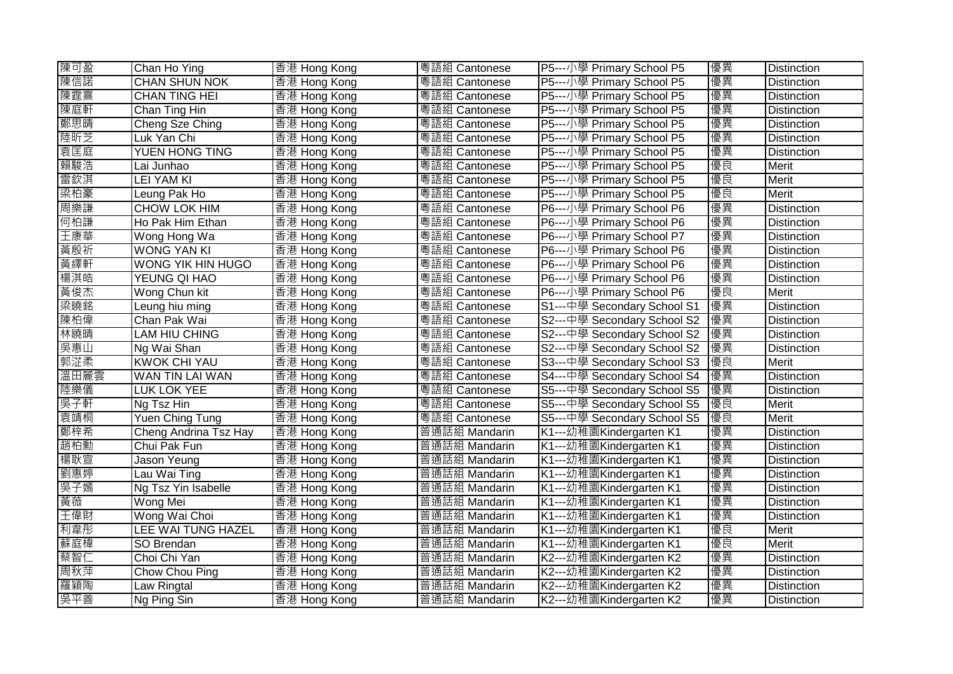| 陳可盈  | Chan Ho Ying             | 香港 Hong Kong | 粵語組 Cantonese | P5---小學 Primary School P5   | 優異 | <b>Distinction</b> |
|------|--------------------------|--------------|---------------|-----------------------------|----|--------------------|
| 陳信諾  | <b>CHAN SHUN NOK</b>     | 香港 Hong Kong | 粵語組 Cantonese | P5---小學 Primary School P5   | 優異 | <b>Distinction</b> |
| 陳霆熹  | <b>CHAN TING HEI</b>     | 香港 Hong Kong | 粵語組 Cantonese | P5---小學 Primary School P5   | 優異 | Distinction        |
| 陳庭軒  | Chan Ting Hin            | 香港 Hong Kong | 粵語組 Cantonese | P5---小學 Primary School P5   | 優異 | <b>Distinction</b> |
| 鄭思晴  | Cheng Sze Ching          | 香港 Hong Kong | 粵語組 Cantonese | P5---小學 Primary School P5   | 優異 | <b>Distinction</b> |
| 陸昕芝  | Luk Yan Chi              | 香港 Hong Kong | 粤語組 Cantonese | P5---小學 Primary School P5   | 優異 | <b>Distinction</b> |
| 袁匡庭  | <b>YUEN HONG TING</b>    | 香港 Hong Kong | 粵語組 Cantonese | P5---小學 Primary School P5   | 優異 | <b>Distinction</b> |
| 賴駿浩  | Lai Junhao               | 香港 Hong Kong | 粵語組 Cantonese | P5---小學 Primary School P5   | 優良 | Merit              |
| 雷欽淇  | <b>LEI YAM KI</b>        | 香港 Hong Kong | 粤語組 Cantonese | P5---小學 Primary School P5   | 優良 | Merit              |
| 梁柏豪  | Leung Pak Ho             | 香港 Hong Kong | 粵語組 Cantonese | P5---小學 Primary School P5   | 優良 | <b>Merit</b>       |
| 周樂謙  | CHOW LOK HIM             | 香港 Hong Kong | 粵語組 Cantonese | P6---小學 Primary School P6   | 優異 | <b>Distinction</b> |
| 何柏謙  | Ho Pak Him Ethan         | 香港 Hong Kong | 粤語組 Cantonese | P6---小學 Primary School P6   | 優異 | <b>Distinction</b> |
| 王康華  | Wong Hong Wa             | 香港 Hong Kong | 粵語組 Cantonese | P6---小學 Primary School P7   | 優異 | Distinction        |
| 黃殷祈  | <b>WONG YAN KI</b>       | 香港 Hong Kong | 粤語組 Cantonese | P6---小學 Primary School P6   | 優異 | <b>Distinction</b> |
| 黃繹軒  | <b>WONG YIK HIN HUGO</b> | 香港 Hong Kong | 粤語組 Cantonese | P6---小學 Primary School P6   | 優異 | <b>Distinction</b> |
| 楊淇皓  | YEUNG QI HAO             | 香港 Hong Kong | 粵語組 Cantonese | P6---小學 Primary School P6   | 優異 | <b>Distinction</b> |
| 黃俊杰  | Wong Chun kit            | 香港 Hong Kong | 粵語組 Cantonese | P6---小學 Primary School P6   | 優良 | Merit              |
| 梁曉銘  | Leung hiu ming           | 香港 Hong Kong | 粵語組 Cantonese | S1---中學 Secondary School S1 | 優異 | <b>Distinction</b> |
| 陳柏偉  | Chan Pak Wai             | 香港 Hong Kong | 粤語組 Cantonese | S2---中學 Secondary School S2 | 優異 | <b>Distinction</b> |
| 林曉晴  | LAM HIU CHING            | 香港 Hong Kong | 粵語組 Cantonese | S2---中學 Secondary School S2 | 優異 | <b>Distinction</b> |
| 吳惠山  | Ng Wai Shan              | 香港 Hong Kong | 粵語組 Cantonese | S2---中學 Secondary School S2 | 優異 | <b>Distinction</b> |
| 郭淽柔  | <b>KWOK CHI YAU</b>      | 香港 Hong Kong | 粵語組 Cantonese | S3---中學 Secondary School S3 | 優良 | Merit              |
| 溫田麗雲 | WAN TIN LAI WAN          | 香港 Hong Kong | 粤語組 Cantonese | S4---中學 Secondary School S4 | 優異 | <b>Distinction</b> |
| 陸樂儀  | LUK LOK YEE              | 香港 Hong Kong | 粵語組 Cantonese | S5---中學 Secondary School S5 | 優異 | Distinction        |
| 吳子軒  | Ng Tsz Hin               | 香港 Hong Kong | 粤語組 Cantonese | S5---中學 Secondary School S5 | 優良 | Merit              |
| 袁靖桐  | <b>Yuen Ching Tung</b>   | 香港 Hong Kong | 粵語組 Cantonese | S5---中學 Secondary School S5 | 優良 | <b>Merit</b>       |
| 鄭梓希  | Cheng Andrina Tsz Hay    | 香港 Hong Kong | 普通話組 Mandarin | K1---幼稚園Kindergarten K1     | 優異 | <b>Distinction</b> |
| 趙柏勳  | Chui Pak Fun             | 香港 Hong Kong | 普通話組 Mandarin | K1---幼稚園Kindergarten K1     | 優異 | <b>Distinction</b> |
| 楊耿宣  | Jason Yeung              | 香港 Hong Kong | 普通話組 Mandarin | K1---幼稚園Kindergarten K1     | 優異 | <b>Distinction</b> |
| 劉惠婷  | Lau Wai Ting             | 香港 Hong Kong | 普通話組 Mandarin | K1---幼稚園Kindergarten K1     | 優異 | <b>Distinction</b> |
| 吳子嫣  | Ng Tsz Yin Isabelle      | 香港 Hong Kong | 普通話組 Mandarin | K1---幼稚園Kindergarten K1     | 優異 | <b>Distinction</b> |
| 黃薇   | Wong Mei                 | 香港 Hong Kong | 普通話組 Mandarin | K1---幼稚園Kindergarten K1     | 優異 | <b>Distinction</b> |
| 王偉財  | Wong Wai Choi            | 香港 Hong Kong | 普通話組 Mandarin | K1---幼稚園Kindergarten K1     | 優異 | <b>Distinction</b> |
| 利韋彤  | LEE WAI TUNG HAZEL       | 香港 Hong Kong | 普通話組 Mandarin | K1---幼稚園Kindergarten K1     | 優良 | Merit              |
| 蘇庭樟  | SO Brendan               | 香港 Hong Kong | 普通話組 Mandarin | K1---幼稚園Kindergarten K1     | 優良 | Merit              |
| 蔡智仁  | Choi Chi Yan             | 香港 Hong Kong | 普通話組 Mandarin | K2---幼稚園Kindergarten K2     | 優異 | Distinction        |
| 周秋萍  | Chow Chou Ping           | 香港 Hong Kong | 普通話組 Mandarin | K2---幼稚園Kindergarten K2     | 優異 | <b>Distinction</b> |
| 羅穎陶  | Law Ringtal              | 香港 Hong Kong | 普通話組 Mandarin | K2---幼稚園Kindergarten K2     | 優異 | <b>Distinction</b> |
| 吳平善  | Ng Ping Sin              | 香港 Hong Kong | 普通話組 Mandarin | K2---幼稚園Kindergarten K2     | 優異 | <b>Distinction</b> |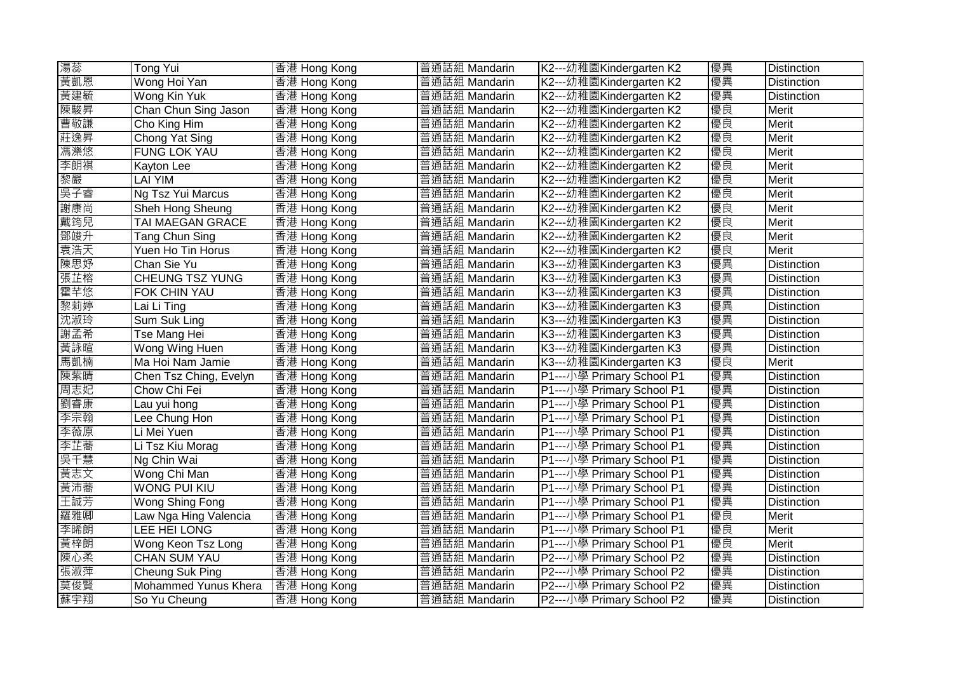| 湯蕊  | <b>Tong Yui</b>         | 香港 Hong Kong | 普通話組 Mandarin | K2---幼稚園Kindergarten K2   | 優異 | <b>Distinction</b> |
|-----|-------------------------|--------------|---------------|---------------------------|----|--------------------|
| 黃凱恩 | Wong Hoi Yan            | 香港 Hong Kong | 普通話組 Mandarin | K2---幼稚園Kindergarten K2   | 優異 | <b>Distinction</b> |
| 黃建毓 | Wong Kin Yuk            | 香港 Hong Kong | 普通話組 Mandarin | K2---幼稚園Kindergarten K2   | 優異 | Distinction        |
| 陳駿昇 | Chan Chun Sing Jason    | 香港 Hong Kong | 普通話組 Mandarin | K2---幼稚園Kindergarten K2   | 優良 | <b>Merit</b>       |
| 曹敬謙 | Cho King Him            | 香港 Hong Kong | 普通話組 Mandarin | K2---幼稚園Kindergarten K2   | 優良 | Merit              |
| 莊逸昇 | Chong Yat Sing          | 香港 Hong Kong | 普通話組 Mandarin | K2---幼稚園Kindergarten K2   | 優良 | Merit              |
| 馮濼悠 | <b>FUNG LOK YAU</b>     | 香港 Hong Kong | 普通話組 Mandarin | K2---幼稚園Kindergarten K2   | 優良 | <b>Merit</b>       |
| 李朗祺 | Kayton Lee              | 香港 Hong Kong | 普通話組 Mandarin | K2---幼稚園Kindergarten K2   | 優良 | Merit              |
| 黎嚴  | <b>LAI YIM</b>          | 香港 Hong Kong | 普通話組 Mandarin | K2---幼稚園Kindergarten K2   | 優良 | Merit              |
| 吳子睿 | Ng Tsz Yui Marcus       | 香港 Hong Kong | 普通話組 Mandarin | K2---幼稚園Kindergarten K2   | 優良 | Merit              |
| 謝康尚 | Sheh Hong Sheung        | 香港 Hong Kong | 普通話組 Mandarin | K2---幼稚園Kindergarten K2   | 優良 | <b>Merit</b>       |
| 戴筠兒 | <b>TAI MAEGAN GRACE</b> | 香港 Hong Kong | 普通話組 Mandarin | K2---幼稚園Kindergarten K2   | 優良 | Merit              |
| 鄧竣升 | Tang Chun Sing          | 香港 Hong Kong | 普通話組 Mandarin | K2---幼稚園Kindergarten K2   | 優良 | Merit              |
| 袁浩天 | Yuen Ho Tin Horus       | 香港 Hong Kong | 普通話組 Mandarin | K2---幼稚園Kindergarten K2   | 優良 | <b>Merit</b>       |
| 陳思妤 | Chan Sie Yu             | 香港 Hong Kong | 普通話組 Mandarin | K3---幼稚園Kindergarten K3   | 優異 | <b>Distinction</b> |
| 張芷榕 | CHEUNG TSZ YUNG         | 香港 Hong Kong | 普通話組 Mandarin | K3---幼稚園Kindergarten K3   | 優異 | <b>Distinction</b> |
| 霍芊悠 | FOK CHIN YAU            | 香港 Hong Kong | 普通話組 Mandarin | K3---幼稚園Kindergarten K3   | 優異 | <b>Distinction</b> |
| 黎莉婷 | Lai Li Ting             | 香港 Hong Kong | 普通話組 Mandarin | K3---幼稚園Kindergarten K3   | 優異 | <b>Distinction</b> |
| 沈淑玲 | Sum Suk Ling            | 香港 Hong Kong | 普通話組 Mandarin | K3---幼稚園Kindergarten K3   | 優異 | Distinction        |
| 謝孟希 | Tse Mang Hei            | 香港 Hong Kong | 普通話組 Mandarin | K3---幼稚園Kindergarten K3   | 優異 | <b>Distinction</b> |
| 黃詠暄 | Wong Wing Huen          | 香港 Hong Kong | 普通話組 Mandarin | K3---幼稚園Kindergarten K3   | 優異 | <b>Distinction</b> |
| 馬凱楠 | Ma Hoi Nam Jamie        | 香港 Hong Kong | 普通話組 Mandarin | K3---幼稚園Kindergarten K3   | 優良 | Merit              |
| 陳紫晴 | Chen Tsz Ching, Evelyn  | 香港 Hong Kong | 普通話組 Mandarin | P1---小學 Primary School P1 | 優異 | <b>Distinction</b> |
| 周志妃 | Chow Chi Fei            | 香港 Hong Kong | 普通話組 Mandarin | P1---小學 Primary School P1 | 優異 | <b>Distinction</b> |
| 劉睿康 | Lau yui hong            | 香港 Hong Kong | 普通話組 Mandarin | P1---小學 Primary School P1 | 優異 | <b>Distinction</b> |
| 李宗翰 | Lee Chung Hon           | 香港 Hong Kong | 普通話組 Mandarin | P1---小學 Primary School P1 | 優異 | <b>Distinction</b> |
| 李薇原 | Li Mei Yuen             | 香港 Hong Kong | 普通話組 Mandarin | P1---小學 Primary School P1 | 優異 | <b>Distinction</b> |
| 李芷蕎 | Li Tsz Kiu Morag        | 香港 Hong Kong | 普通話組 Mandarin | P1---小學 Primary School P1 | 優異 | <b>Distinction</b> |
| 吳千慧 | Ng Chin Wai             | 香港 Hong Kong | 普通話組 Mandarin | P1---小學 Primary School P1 | 優異 | <b>Distinction</b> |
| 黃志文 | Wong Chi Man            | 香港 Hong Kong | 普通話組 Mandarin | P1---小學 Primary School P1 | 優異 | <b>Distinction</b> |
| 黃沛蕎 | <b>WONG PUI KIU</b>     | 香港 Hong Kong | 普通話組 Mandarin | P1---小學 Primary School P1 | 優異 | <b>Distinction</b> |
| 王誠芳 | Wong Shing Fong         | 香港 Hong Kong | 普通話組 Mandarin | P1---小學 Primary School P1 | 優異 | <b>Distinction</b> |
| 羅雅卿 | Law Nga Hing Valencia   | 香港 Hong Kong | 普通話組 Mandarin | P1---小學 Primary School P1 | 優良 | Merit              |
| 李晞朗 | LEE HEI LONG            | 香港 Hong Kong | 普通話組 Mandarin | P1---小學 Primary School P1 | 優良 | Merit              |
| 黃梓朗 | Wong Keon Tsz Long      | 香港 Hong Kong | 普通話組 Mandarin | P1---小學 Primary School P1 | 優良 | Merit              |
| 陳心柔 | <b>CHAN SUM YAU</b>     | 香港 Hong Kong | 普通話組 Mandarin | P2---小學 Primary School P2 | 優異 | <b>Distinction</b> |
| 張淑萍 | Cheung Suk Ping         | 香港 Hong Kong | 普通話組 Mandarin | P2---小學 Primary School P2 | 優異 | <b>Distinction</b> |
| 莫俊賢 | Mohammed Yunus Khera    | 香港 Hong Kong | 普通話組 Mandarin | P2---小學 Primary School P2 | 優異 | <b>Distinction</b> |
| 蘇宇翔 | So Yu Cheung            | 香港 Hong Kong | 普通話組 Mandarin | P2---小學 Primary School P2 | 優異 | <b>Distinction</b> |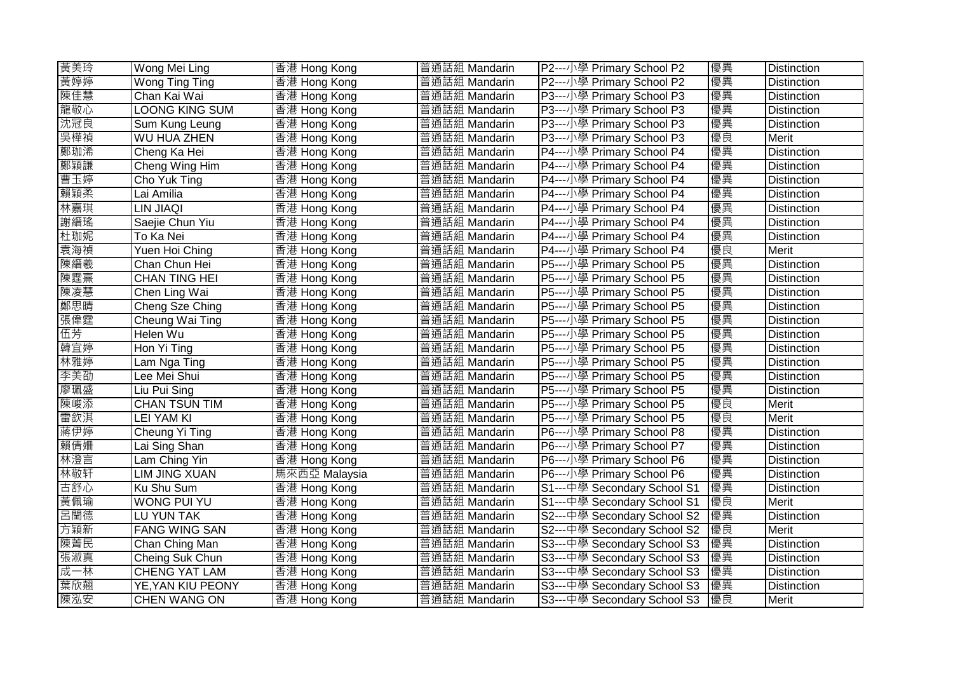| 黃美玲 | Wong Mei Ling         | 香港 Hong Kong  | 普通話組 Mandarin | P2---小學 Primary School P2   | 優異 | <b>Distinction</b> |
|-----|-----------------------|---------------|---------------|-----------------------------|----|--------------------|
| 黃婷婷 | Wong Ting Ting        | 香港 Hong Kong  | 普通話組 Mandarin | P2---小學 Primary School P2   | 優異 | <b>Distinction</b> |
| 陳佳慧 | Chan Kai Wai          | 香港 Hong Kong  | 普通話組 Mandarin | P3---小學 Primary School P3   | 優異 | Distinction        |
| 龍敬心 | <b>LOONG KING SUM</b> | 香港 Hong Kong  | 普通話組 Mandarin | P3---小學 Primary School P3   | 優異 | <b>Distinction</b> |
| 沈冠良 | Sum Kung Leung        | 香港 Hong Kong  | 普通話組 Mandarin | P3---小學 Primary School P3   | 優異 | <b>Distinction</b> |
| 吳樺禎 | <b>WU HUA ZHEN</b>    | 香港 Hong Kong  | 普通話組 Mandarin | P3---小學 Primary School P3   | 優良 | Merit              |
| 鄭珈浠 | Cheng Ka Hei          | 香港 Hong Kong  | 普通話組 Mandarin | P4---小學 Primary School P4   | 優異 | <b>Distinction</b> |
| 鄭穎謙 | Cheng Wing Him        | 香港 Hong Kong  | 普通話組 Mandarin | P4---小學 Primary School P4   | 優異 | <b>Distinction</b> |
| 曹玉婷 | Cho Yuk Ting          | 香港 Hong Kong  | 普通話組 Mandarin | P4---小學 Primary School P4   | 優異 | <b>Distinction</b> |
| 賴穎柔 | Lai Amilia            | 香港 Hong Kong  | 普通話組 Mandarin | P4---小學 Primary School P4   | 優異 | <b>Distinction</b> |
| 林嘉琪 | LIN JIAQI             | 香港 Hong Kong  | 普通話組 Mandarin | P4---小學 Primary School P4   | 優異 | <b>Distinction</b> |
| 謝縉瑤 | Saejie Chun Yiu       | 香港 Hong Kong  | 普通話組 Mandarin | P4---小學 Primary School P4   | 優異 | <b>Distinction</b> |
| 杜珈妮 | To Ka Nei             | 香港 Hong Kong  | 普通話組 Mandarin | P4---小學 Primary School P4   | 優異 | <b>Distinction</b> |
| 袁海禎 | Yuen Hoi Ching        | 香港 Hong Kong  | 普通話組 Mandarin | P4---小學 Primary School P4   | 優良 | <b>Merit</b>       |
| 陳縉羲 | Chan Chun Hei         | 香港 Hong Kong  | 普通話組 Mandarin | P5---小學 Primary School P5   | 優異 | Distinction        |
| 陳霆熹 | <b>CHAN TING HEI</b>  | 香港 Hong Kong  | 普通話組 Mandarin | P5---小學 Primary School P5   | 優異 | <b>Distinction</b> |
| 陳凌慧 | Chen Ling Wai         | 香港 Hong Kong  | 普通話組 Mandarin | P5---小學 Primary School P5   | 優異 | <b>Distinction</b> |
| 鄭思晴 | Cheng Sze Ching       | 香港 Hong Kong  | 普通話組 Mandarin | P5---小學 Primary School P5   | 優異 | <b>Distinction</b> |
| 張偉霆 | Cheung Wai Ting       | 香港 Hong Kong  | 普通話組 Mandarin | P5---小學 Primary School P5   | 優異 | <b>Distinction</b> |
| 伍芳  | Helen Wu              | 香港 Hong Kong  | 普通話組 Mandarin | P5---小學 Primary School P5   | 優異 | <b>Distinction</b> |
| 韓宜婷 | Hon Yi Ting           | 香港 Hong Kong  | 普通話組 Mandarin | P5---小學 Primary School P5   | 優異 | <b>Distinction</b> |
| 林雅婷 | Lam Nga Ting          | 香港 Hong Kong  | 普通話組 Mandarin | P5---小學 Primary School P5   | 優異 | Distinction        |
| 李美劭 | Lee Mei Shui          | 香港 Hong Kong  | 普通話組 Mandarin | P5---小學 Primary School P5   | 優異 | <b>Distinction</b> |
| 廖珮盛 | Liu Pui Sing          | 香港 Hong Kong  | 普通話組 Mandarin | P5---小學 Primary School P5   | 優異 | Distinction        |
| 陳峻添 | <b>CHAN TSUN TIM</b>  | 香港 Hong Kong  | 普通話組 Mandarin | P5---小學 Primary School P5   | 優良 | Merit              |
| 雷欽淇 | <b>LEI YAM KI</b>     | 香港 Hong Kong  | 普通話組 Mandarin | P5---小學 Primary School P5   | 優良 | Merit              |
| 蔣伊婷 | Cheung Yi Ting        | 香港 Hong Kong  | 普通話組 Mandarin | P6---小學 Primary School P8   | 優異 | <b>Distinction</b> |
| 賴倩姍 | Lai Sing Shan         | 香港 Hong Kong  | 普通話組 Mandarin | P6---小學 Primary School P7   | 優異 | Distinction        |
| 林澄言 | Lam Ching Yin         | 香港 Hong Kong  | 普通話組 Mandarin | P6---小學 Primary School P6   | 優異 | <b>Distinction</b> |
| 林敬轩 | <b>LIM JING XUAN</b>  | 馬來西亞 Malaysia | 普通話組 Mandarin | P6---小學 Primary School P6   | 優異 | Distinction        |
| 古舒心 | Ku Shu Sum            | 香港 Hong Kong  | 普通話組 Mandarin | S1---中學 Secondary School S1 | 優異 | <b>Distinction</b> |
| 黃佩瑜 | WONG PUI YU           | 香港 Hong Kong  | 普通話組 Mandarin | S1---中學 Secondary School S1 | 優良 | Merit              |
| 呂閏德 | LU YUN TAK            | 香港 Hong Kong  | 普通話組 Mandarin | S2---中學 Secondary School S2 | 優異 | <b>Distinction</b> |
| 方穎新 | <b>FANG WING SAN</b>  | 香港 Hong Kong  | 普通話組 Mandarin | S2---中學 Secondary School S2 | 優良 | Merit              |
| 陳菁民 | Chan Ching Man        | 香港 Hong Kong  | 普通話組 Mandarin | S3---中學 Secondary School S3 | 優異 | <b>Distinction</b> |
| 張淑真 | Cheing Suk Chun       | 香港 Hong Kong  | 普通話組 Mandarin | S3---中學 Secondary School S3 | 優異 | <b>Distinction</b> |
| 成一林 | CHENG YAT LAM         | 香港 Hong Kong  | 普通話組 Mandarin | S3---中學 Secondary School S3 | 優異 | <b>Distinction</b> |
| 葉欣翹 | YE, YAN KIU PEONY     | 香港 Hong Kong  | 普通話組 Mandarin | S3---中學 Secondary School S3 | 優異 | <b>Distinction</b> |
| 陳泓安 | <b>CHEN WANG ON</b>   | 香港 Hong Kong  | 普通話組 Mandarin | S3---中學 Secondary School S3 | 優良 | Merit              |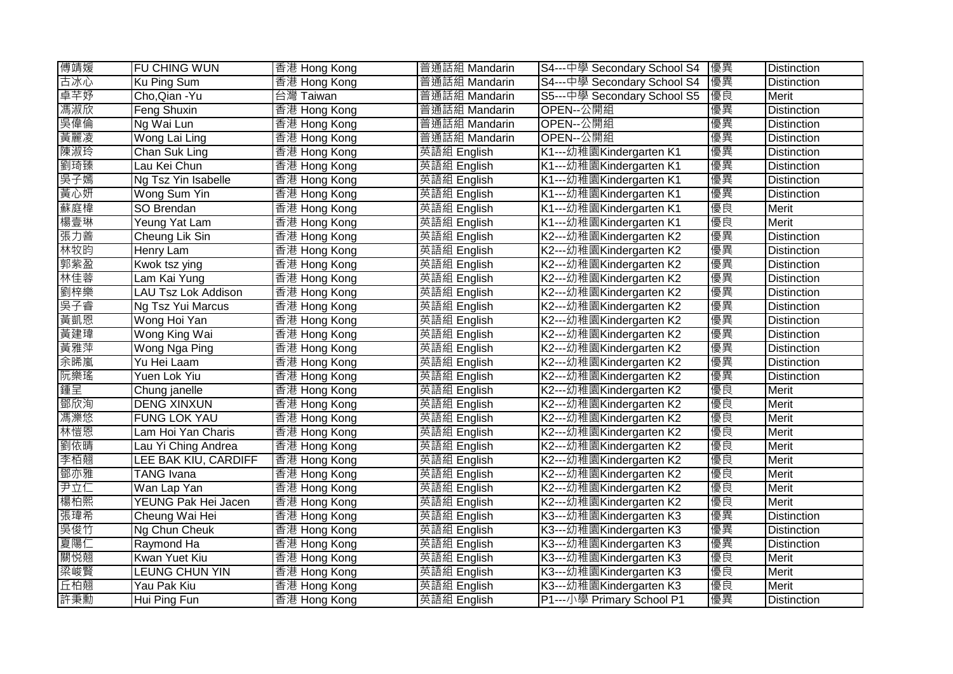| 傅靖媛 | FU CHING WUN         | 香港 Hong Kong | 普通話組 Mandarin | S4---中學 Secondary School S4 | 優異 | <b>Distinction</b> |
|-----|----------------------|--------------|---------------|-----------------------------|----|--------------------|
| 古冰心 | Ku Ping Sum          | 香港 Hong Kong | 普通話組 Mandarin | S4---中學 Secondary School S4 | 優異 | <b>Distinction</b> |
| 卓芊妤 | Cho, Qian - Yu       | 台灣 Taiwan    | 普通話組 Mandarin | S5---中學 Secondary School S5 | 優良 | Merit              |
| 馮淑欣 | <b>Feng Shuxin</b>   | 香港 Hong Kong | 普通話組 Mandarin | OPEN--公開組                   | 優異 | <b>Distinction</b> |
| 吳偉倫 | Ng Wai Lun           | 香港 Hong Kong | 普通話組 Mandarin | OPEN--公開組                   | 優異 | <b>Distinction</b> |
| 黃麗凌 | Wong Lai Ling        | 香港 Hong Kong | 普通話組 Mandarin | OPEN--公開組                   | 優異 | Distinction        |
| 陳淑玲 | Chan Suk Ling        | 香港 Hong Kong | 英語組 English   | K1---幼稚園Kindergarten K1     | 優異 | <b>Distinction</b> |
| 劉琦臻 | Lau Kei Chun         | 香港 Hong Kong | 英語組 English   | K1---幼稚園Kindergarten K1     | 優異 | <b>Distinction</b> |
| 吳子嫣 | Ng Tsz Yin Isabelle  | 香港 Hong Kong | 英語組 English   | K1---幼稚園Kindergarten K1     | 優異 | <b>Distinction</b> |
| 黃心妍 | Wong Sum Yin         | 香港 Hong Kong | 英語組 English   | K1---幼稚園Kindergarten K1     | 優異 | <b>Distinction</b> |
| 蘇庭椲 | SO Brendan           | 香港 Hong Kong | 英語組 English   | K1---幼稚園Kindergarten K1     | 優良 | Merit              |
| 楊壹琳 | Yeung Yat Lam        | 香港 Hong Kong | 英語組 English   | K1---幼稚園Kindergarten K1     | 優良 | <b>Merit</b>       |
| 張力善 | Cheung Lik Sin       | 香港 Hong Kong | 英語組 English   | K2---幼稚園Kindergarten K2     | 優異 | <b>Distinction</b> |
| 林牧昀 | Henry Lam            | 香港 Hong Kong | 英語組 English   | K2---幼稚園Kindergarten K2     | 優異 | Distinction        |
| 郭紫盈 | Kwok tsz ying        | 香港 Hong Kong | 英語組 English   | K2---幼稚園Kindergarten K2     | 優異 | Distinction        |
| 林佳蓉 | Lam Kai Yung         | 香港 Hong Kong | 英語組 English   | K2---幼稚園Kindergarten K2     | 優異 | <b>Distinction</b> |
| 劉梓樂 | LAU Tsz Lok Addison  | 香港 Hong Kong | 英語組 English   | K2---幼稚園Kindergarten K2     | 優異 | Distinction        |
| 吳子睿 | Ng Tsz Yui Marcus    | 香港 Hong Kong | 英語組 English   | K2---幼稚園Kindergarten K2     | 優異 | Distinction        |
| 黃凱恩 | Wong Hoi Yan         | 香港 Hong Kong | 英語組 English   | K2---幼稚園Kindergarten K2     | 優異 | Distinction        |
| 黃建瑋 | Wong King Wai        | 香港 Hong Kong | 英語組 English   | K2---幼稚園Kindergarten K2     | 優異 | Distinction        |
| 黃雅萍 | Wong Nga Ping        | 香港 Hong Kong | 英語組 English   | K2---幼稚園Kindergarten K2     | 優異 | Distinction        |
| 余晞嵐 | Yu Hei Laam          | 香港 Hong Kong | 英語組 English   | K2---幼稚園Kindergarten K2     | 優異 | Distinction        |
| 阮樂瑤 | Yuen Lok Yiu         | 香港 Hong Kong | 英語組 English   | K2---幼稚園Kindergarten K2     | 優異 | <b>Distinction</b> |
| 鍾呈  | Chung janelle        | 香港 Hong Kong | 英語組 English   | K2---幼稚園Kindergarten K2     | 優良 | Merit              |
| 鄧欣洵 | <b>DENG XINXUN</b>   | 香港 Hong Kong | 英語組 English   | K2---幼稚園Kindergarten K2     | 優良 | Merit              |
| 馮濼悠 | <b>FUNG LOK YAU</b>  | 香港 Hong Kong | 英語組 English   | K2---幼稚園Kindergarten K2     | 優良 | Merit              |
| 林愷恩 | Lam Hoi Yan Charis   | 香港 Hong Kong | 英語組 English   | K2---幼稚園Kindergarten K2     | 優良 | Merit              |
| 劉依晴 | Lau Yi Ching Andrea  | 香港 Hong Kong | 英語組 English   | K2---幼稚園Kindergarten K2     | 優良 | Merit              |
| 李栢翹 | LEE BAK KIU, CARDIFF | 香港 Hong Kong | 英語組 English   | K2---幼稚園Kindergarten K2     | 優良 | Merit              |
| 鄧亦雅 | TANG Ivana           | 香港 Hong Kong | 英語組 English   | K2---幼稚園Kindergarten K2     | 優良 | Merit              |
| 尹立仁 | Wan Lap Yan          | 香港 Hong Kong | 英語組 English   | K2---幼稚園Kindergarten K2     | 優良 | Merit              |
| 楊柏熙 | YEUNG Pak Hei Jacen  | 香港 Hong Kong | 英語組 English   | K2---幼稚園Kindergarten K2     | 優良 | Merit              |
| 張瑋希 | Cheung Wai Hei       | 香港 Hong Kong | 英語組 English   | K3---幼稚園Kindergarten K3     | 優異 | Distinction        |
| 吳俊竹 | Ng Chun Cheuk        | 香港 Hong Kong | 英語組 English   | K3---幼稚園Kindergarten K3     | 優異 | <b>Distinction</b> |
| 夏陽仁 | Raymond Ha           | 香港 Hong Kong | 英語組 English   | K3---幼稚園Kindergarten K3     | 優異 | Distinction        |
| 關悦翹 | Kwan Yuet Kiu        | 香港 Hong Kong | 英語組 English   | K3---幼稚園Kindergarten K3     | 優良 | Merit              |
| 梁峻賢 | LEUNG CHUN YIN       | 香港 Hong Kong | 英語組 English   | K3---幼稚園Kindergarten K3     | 優良 | Merit              |
| 丘柏翹 | Yau Pak Kiu          | 香港 Hong Kong | 英語組 English   | K3---幼稚園Kindergarten K3     | 優良 | Merit              |
| 許秉勳 | Hui Ping Fun         | 香港 Hong Kong | 英語組 English   | P1---小學 Primary School P1   | 優異 | <b>Distinction</b> |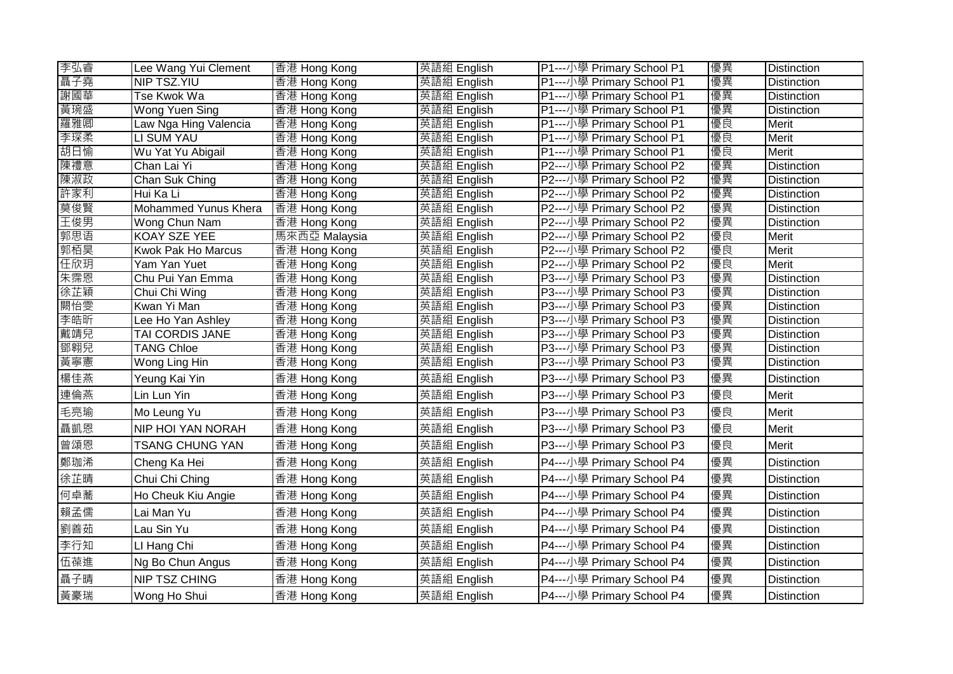| 李弘睿 | Lee Wang Yui Clement     | 香港 Hong Kong  | 英語組 English | P1---小學 Primary School P1 | 優異 | <b>Distinction</b> |
|-----|--------------------------|---------------|-------------|---------------------------|----|--------------------|
| 聶子堯 | NIP TSZ.YIU              | 香港 Hong Kong  | 英語組 English | P1---小學 Primary School P1 | 優異 | Distinction        |
| 謝國華 | Tse Kwok Wa              | 香港 Hong Kong  | 英語組 English | P1---小學 Primary School P1 | 優異 | Distinction        |
| 黃琬盛 | Wong Yuen Sing           | 香港 Hong Kong  | 英語組 English | P1---小學 Primary School P1 | 優異 | <b>Distinction</b> |
| 羅雅卿 | Law Nga Hing Valencia    | 香港 Hong Kong  | 英語組 English | P1---小學 Primary School P1 | 優良 | Merit              |
| 李琛柔 | LI SUM YAU               | 香港 Hong Kong  | 英語組 English | P1---小學 Primary School P1 | 優良 | Merit              |
| 胡日愉 | Wu Yat Yu Abigail        | 香港 Hong Kong  | 英語組 English | P1---小學 Primary School P1 | 優良 | Merit              |
| 陳禮意 | Chan Lai Yi              | 香港 Hong Kong  | 英語組 English | P2---小學 Primary School P2 | 優異 | <b>Distinction</b> |
| 陳淑政 | Chan Suk Ching           | 香港 Hong Kong  | 英語組 English | P2---小學 Primary School P2 | 優異 | <b>Distinction</b> |
| 許家利 | Hui Ka Li                | 香港 Hong Kong  | 英語組 English | P2---小學 Primary School P2 | 優異 | <b>Distinction</b> |
| 莫俊賢 | Mohammed Yunus Khera     | 香港 Hong Kong  | 英語組 English | P2---小學 Primary School P2 | 優異 | <b>Distinction</b> |
| 王俊男 | Wong Chun Nam            | 香港 Hong Kong  | 英語組 English | P2---小學 Primary School P2 | 優異 | <b>Distinction</b> |
| 郭思语 | <b>KOAY SZE YEE</b>      | 馬來西亞 Malaysia | 英語組 English | P2---小學 Primary School P2 | 優良 | Merit              |
| 郭栢昊 | Kwok Pak Ho Marcus       | 香港 Hong Kong  | 英語組 English | P2---小學 Primary School P2 | 優良 | Merit              |
| 任欣玥 | Yam Yan Yuet             | 香港 Hong Kong  | 英語組 English | P2---小學 Primary School P2 | 優良 | <b>Merit</b>       |
| 朱霈恩 | Chu Pui Yan Emma         | 香港 Hong Kong  | 英語組 English | P3---小學 Primary School P3 | 優異 | <b>Distinction</b> |
| 徐芷穎 | Chui Chi Wing            | 香港 Hong Kong  | 英語組 English | P3---小學 Primary School P3 | 優異 | Distinction        |
| 闕怡雯 | Kwan Yi Man              | 香港 Hong Kong  | 英語組 English | P3---小學 Primary School P3 | 優異 | <b>Distinction</b> |
| 李皓昕 | Lee Ho Yan Ashley        | 香港 Hong Kong  | 英語組 English | P3---小學 Primary School P3 | 優異 | <b>Distinction</b> |
| 戴靖兒 | TAI CORDIS JANE          | 香港 Hong Kong  | 英語組 English | P3---小學 Primary School P3 | 優異 | <b>Distinction</b> |
| 鄧翱兒 | <b>TANG Chloe</b>        | 香港 Hong Kong  | 英語組 English | P3---小學 Primary School P3 | 優異 | Distinction        |
| 黃寧憲 | Wong Ling Hin            | 香港 Hong Kong  | 英語組 English | P3---小學 Primary School P3 | 優異 | Distinction        |
| 楊佳燕 | Yeung Kai Yin            | 香港 Hong Kong  | 英語組 English | P3---小學 Primary School P3 | 優異 | <b>Distinction</b> |
| 連倫燕 | Lin Lun Yin              | 香港 Hong Kong  | 英語組 English | P3---小學 Primary School P3 | 優良 | Merit              |
| 毛亮瑜 | Mo Leung Yu              | 香港 Hong Kong  | 英語組 English | P3---小學 Primary School P3 | 優良 | Merit              |
| 聶凱恩 | <b>NIP HOI YAN NORAH</b> | 香港 Hong Kong  | 英語組 English | P3---小學 Primary School P3 | 優良 | Merit              |
| 曾頌恩 | <b>TSANG CHUNG YAN</b>   | 香港 Hong Kong  | 英語組 English | P3---小學 Primary School P3 | 優良 | Merit              |
| 鄭珈浠 | Cheng Ka Hei             | 香港 Hong Kong  | 英語組 English | P4---小學 Primary School P4 | 優異 | <b>Distinction</b> |
| 徐芷晴 | Chui Chi Ching           | 香港 Hong Kong  | 英語組 English | P4---小學 Primary School P4 | 優異 | <b>Distinction</b> |
| 何卓蕎 | Ho Cheuk Kiu Angie       | 香港 Hong Kong  | 英語組 English | P4---小學 Primary School P4 | 優異 | Distinction        |
| 賴孟儒 | Lai Man Yu               | 香港 Hong Kong  | 英語組 English | P4---小學 Primary School P4 | 優異 | Distinction        |
| 劉善茹 | Lau Sin Yu               | 香港 Hong Kong  | 英語組 English | P4---小學 Primary School P4 | 優異 | <b>Distinction</b> |
| 李行知 | LI Hang Chi              | 香港 Hong Kong  | 英語組 English | P4---小學 Primary School P4 | 優異 | Distinction        |
| 伍葆進 | Ng Bo Chun Angus         | 香港 Hong Kong  | 英語組 English | P4---小學 Primary School P4 | 優異 | Distinction        |
| 聶子晴 | <b>NIP TSZ CHING</b>     | 香港 Hong Kong  | 英語組 English | P4---小學 Primary School P4 | 優異 | <b>Distinction</b> |
| 黃豪瑞 | Wong Ho Shui             | 香港 Hong Kong  | 英語組 English | P4---小學 Primary School P4 | 優異 | <b>Distinction</b> |